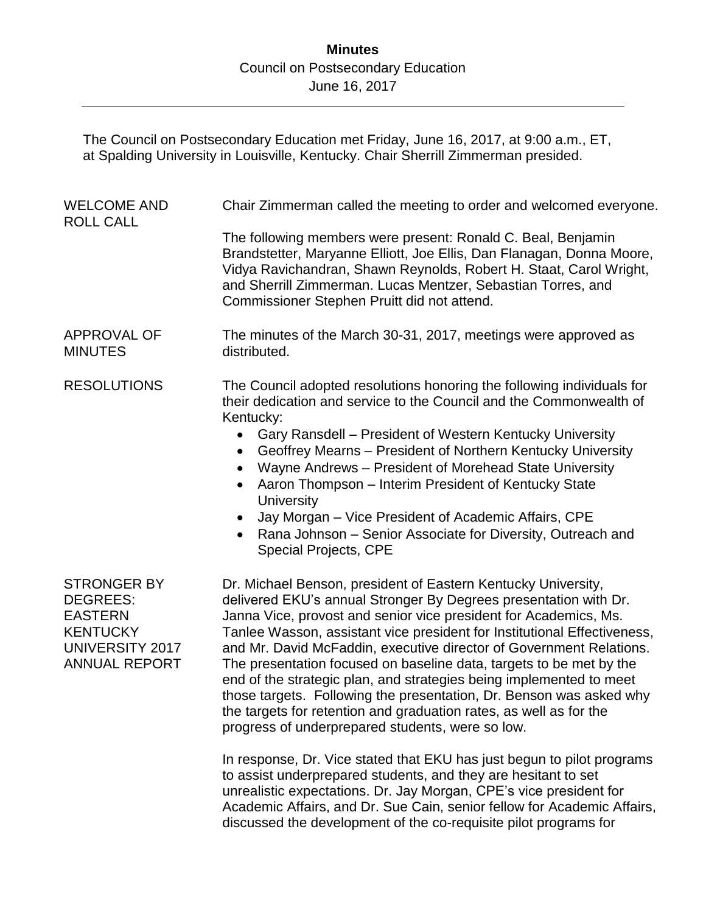The Council on Postsecondary Education met Friday, June 16, 2017, at 9:00 a.m., ET, at Spalding University in Louisville, Kentucky. Chair Sherrill Zimmerman presided.

| <b>WELCOME AND</b><br><b>ROLL CALL</b>                                                                                       | Chair Zimmerman called the meeting to order and welcomed everyone.                                                                                                                                                                                                                                                                                                                                                                                                                                                                                                                                                                                                                                      |
|------------------------------------------------------------------------------------------------------------------------------|---------------------------------------------------------------------------------------------------------------------------------------------------------------------------------------------------------------------------------------------------------------------------------------------------------------------------------------------------------------------------------------------------------------------------------------------------------------------------------------------------------------------------------------------------------------------------------------------------------------------------------------------------------------------------------------------------------|
|                                                                                                                              | The following members were present: Ronald C. Beal, Benjamin<br>Brandstetter, Maryanne Elliott, Joe Ellis, Dan Flanagan, Donna Moore,<br>Vidya Ravichandran, Shawn Reynolds, Robert H. Staat, Carol Wright,<br>and Sherrill Zimmerman. Lucas Mentzer, Sebastian Torres, and<br>Commissioner Stephen Pruitt did not attend.                                                                                                                                                                                                                                                                                                                                                                              |
| <b>APPROVAL OF</b><br><b>MINUTES</b>                                                                                         | The minutes of the March 30-31, 2017, meetings were approved as<br>distributed.                                                                                                                                                                                                                                                                                                                                                                                                                                                                                                                                                                                                                         |
| <b>RESOLUTIONS</b>                                                                                                           | The Council adopted resolutions honoring the following individuals for<br>their dedication and service to the Council and the Commonwealth of<br>Kentucky:                                                                                                                                                                                                                                                                                                                                                                                                                                                                                                                                              |
|                                                                                                                              | $\bullet$<br>Gary Ransdell - President of Western Kentucky University<br>Geoffrey Mearns - President of Northern Kentucky University<br>$\bullet$<br>Wayne Andrews - President of Morehead State University<br>$\bullet$<br>Aaron Thompson - Interim President of Kentucky State<br>$\bullet$<br><b>University</b><br>Jay Morgan - Vice President of Academic Affairs, CPE<br>$\bullet$<br>Rana Johnson - Senior Associate for Diversity, Outreach and                                                                                                                                                                                                                                                  |
|                                                                                                                              | <b>Special Projects, CPE</b>                                                                                                                                                                                                                                                                                                                                                                                                                                                                                                                                                                                                                                                                            |
| <b>STRONGER BY</b><br><b>DEGREES:</b><br><b>EASTERN</b><br><b>KENTUCKY</b><br><b>UNIVERSITY 2017</b><br><b>ANNUAL REPORT</b> | Dr. Michael Benson, president of Eastern Kentucky University,<br>delivered EKU's annual Stronger By Degrees presentation with Dr.<br>Janna Vice, provost and senior vice president for Academics, Ms.<br>Tanlee Wasson, assistant vice president for Institutional Effectiveness,<br>and Mr. David McFaddin, executive director of Government Relations.<br>The presentation focused on baseline data, targets to be met by the<br>end of the strategic plan, and strategies being implemented to meet<br>those targets. Following the presentation, Dr. Benson was asked why<br>the targets for retention and graduation rates, as well as for the<br>progress of underprepared students, were so low. |
|                                                                                                                              | In response, Dr. Vice stated that EKU has just begun to pilot programs<br>to assist underprepared students, and they are hesitant to set<br>unrealistic expectations. Dr. Jay Morgan, CPE's vice president for                                                                                                                                                                                                                                                                                                                                                                                                                                                                                          |

Academic Affairs, and Dr. Sue Cain, senior fellow for Academic Affairs,

discussed the development of the co-requisite pilot programs for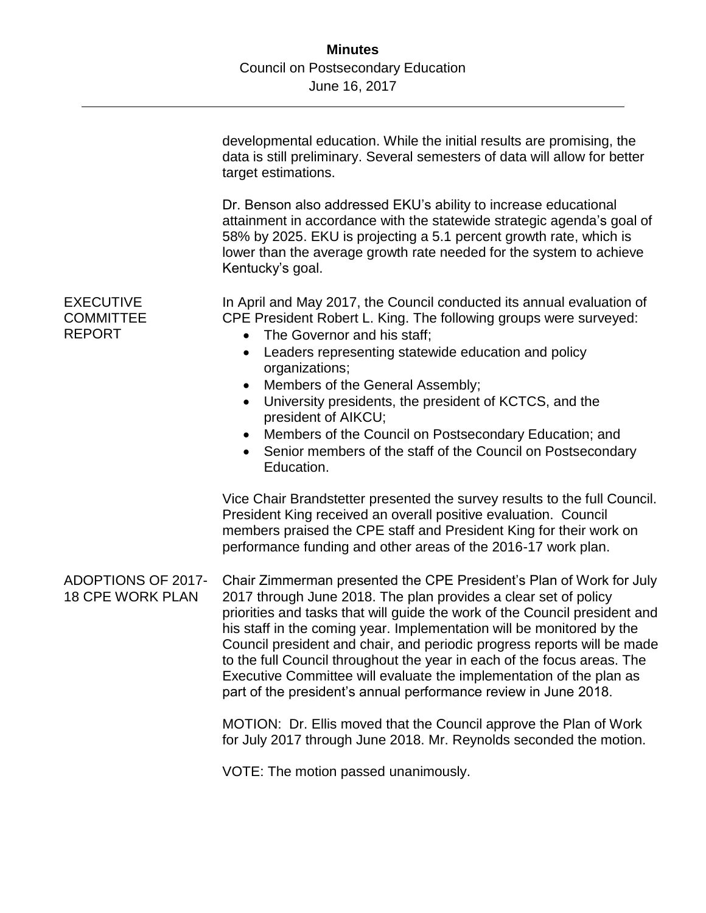|                                                       | developmental education. While the initial results are promising, the<br>data is still preliminary. Several semesters of data will allow for better<br>target estimations.                                                                                                                                                                                                                                                                                                                                                                                                                    |
|-------------------------------------------------------|-----------------------------------------------------------------------------------------------------------------------------------------------------------------------------------------------------------------------------------------------------------------------------------------------------------------------------------------------------------------------------------------------------------------------------------------------------------------------------------------------------------------------------------------------------------------------------------------------|
|                                                       | Dr. Benson also addressed EKU's ability to increase educational<br>attainment in accordance with the statewide strategic agenda's goal of<br>58% by 2025. EKU is projecting a 5.1 percent growth rate, which is<br>lower than the average growth rate needed for the system to achieve<br>Kentucky's goal.                                                                                                                                                                                                                                                                                    |
| <b>EXECUTIVE</b><br><b>COMMITTEE</b><br><b>REPORT</b> | In April and May 2017, the Council conducted its annual evaluation of<br>CPE President Robert L. King. The following groups were surveyed:<br>The Governor and his staff;<br>Leaders representing statewide education and policy<br>$\bullet$<br>organizations;                                                                                                                                                                                                                                                                                                                               |
|                                                       | Members of the General Assembly;<br>University presidents, the president of KCTCS, and the<br>$\bullet$                                                                                                                                                                                                                                                                                                                                                                                                                                                                                       |
|                                                       | president of AIKCU;                                                                                                                                                                                                                                                                                                                                                                                                                                                                                                                                                                           |
|                                                       | Members of the Council on Postsecondary Education; and<br>Senior members of the staff of the Council on Postsecondary<br>Education.                                                                                                                                                                                                                                                                                                                                                                                                                                                           |
|                                                       | Vice Chair Brandstetter presented the survey results to the full Council.<br>President King received an overall positive evaluation. Council<br>members praised the CPE staff and President King for their work on<br>performance funding and other areas of the 2016-17 work plan.                                                                                                                                                                                                                                                                                                           |
| ADOPTIONS OF 2017-<br><b>18 CPE WORK PLAN</b>         | Chair Zimmerman presented the CPE President's Plan of Work for July<br>2017 through June 2018. The plan provides a clear set of policy<br>priorities and tasks that will guide the work of the Council president and<br>his staff in the coming year. Implementation will be monitored by the<br>Council president and chair, and periodic progress reports will be made<br>to the full Council throughout the year in each of the focus areas. The<br>Executive Committee will evaluate the implementation of the plan as<br>part of the president's annual performance review in June 2018. |
|                                                       | MOTION: Dr. Ellis moved that the Council approve the Plan of Work<br>for July 2017 through June 2018. Mr. Reynolds seconded the motion.                                                                                                                                                                                                                                                                                                                                                                                                                                                       |
|                                                       | VOTE: The motion passed unanimously.                                                                                                                                                                                                                                                                                                                                                                                                                                                                                                                                                          |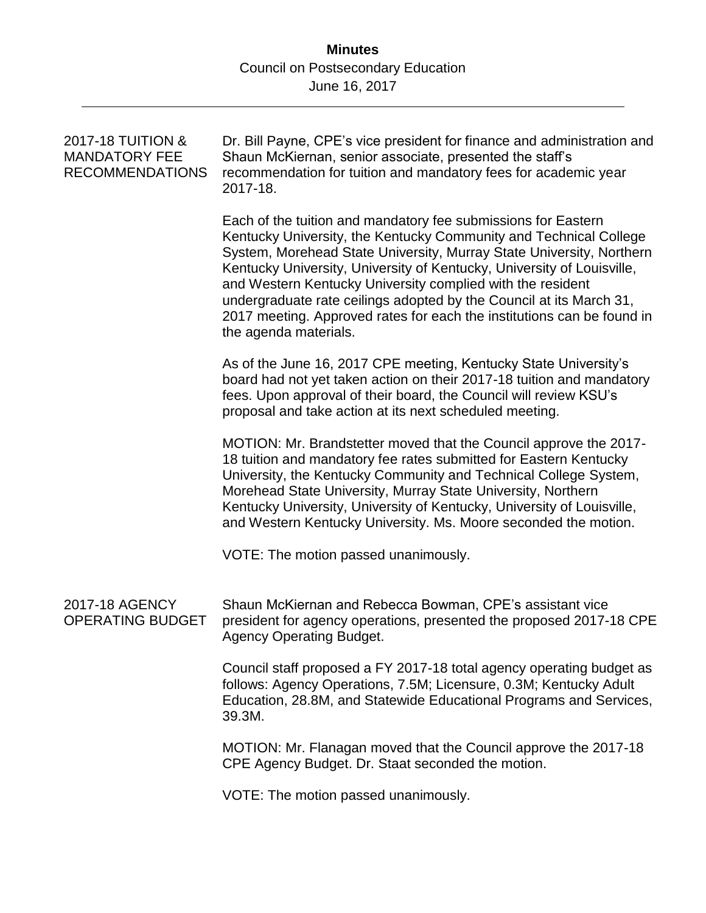| 2017-18 TUITION &<br><b>MANDATORY FEE</b><br><b>RECOMMENDATIONS</b> | Dr. Bill Payne, CPE's vice president for finance and administration and<br>Shaun McKiernan, senior associate, presented the staff's<br>recommendation for tuition and mandatory fees for academic year<br>2017-18.                                                                                                                                                                                                                                                                                                           |
|---------------------------------------------------------------------|------------------------------------------------------------------------------------------------------------------------------------------------------------------------------------------------------------------------------------------------------------------------------------------------------------------------------------------------------------------------------------------------------------------------------------------------------------------------------------------------------------------------------|
|                                                                     | Each of the tuition and mandatory fee submissions for Eastern<br>Kentucky University, the Kentucky Community and Technical College<br>System, Morehead State University, Murray State University, Northern<br>Kentucky University, University of Kentucky, University of Louisville,<br>and Western Kentucky University complied with the resident<br>undergraduate rate ceilings adopted by the Council at its March 31,<br>2017 meeting. Approved rates for each the institutions can be found in<br>the agenda materials. |
|                                                                     | As of the June 16, 2017 CPE meeting, Kentucky State University's<br>board had not yet taken action on their 2017-18 tuition and mandatory<br>fees. Upon approval of their board, the Council will review KSU's<br>proposal and take action at its next scheduled meeting.                                                                                                                                                                                                                                                    |
|                                                                     | MOTION: Mr. Brandstetter moved that the Council approve the 2017-<br>18 tuition and mandatory fee rates submitted for Eastern Kentucky<br>University, the Kentucky Community and Technical College System,<br>Morehead State University, Murray State University, Northern<br>Kentucky University, University of Kentucky, University of Louisville,<br>and Western Kentucky University. Ms. Moore seconded the motion.                                                                                                      |
|                                                                     | VOTE: The motion passed unanimously.                                                                                                                                                                                                                                                                                                                                                                                                                                                                                         |
| 2017-18 AGENCY<br><b>OPERATING BUDGET</b>                           | Shaun McKiernan and Rebecca Bowman, CPE's assistant vice<br>president for agency operations, presented the proposed 2017-18 CPE<br><b>Agency Operating Budget.</b>                                                                                                                                                                                                                                                                                                                                                           |
|                                                                     | Council staff proposed a FY 2017-18 total agency operating budget as<br>follows: Agency Operations, 7.5M; Licensure, 0.3M; Kentucky Adult<br>Education, 28.8M, and Statewide Educational Programs and Services,<br>39.3M.                                                                                                                                                                                                                                                                                                    |
|                                                                     | MOTION: Mr. Flanagan moved that the Council approve the 2017-18<br>CPE Agency Budget. Dr. Staat seconded the motion.                                                                                                                                                                                                                                                                                                                                                                                                         |
|                                                                     | VOTE: The motion passed unanimously.                                                                                                                                                                                                                                                                                                                                                                                                                                                                                         |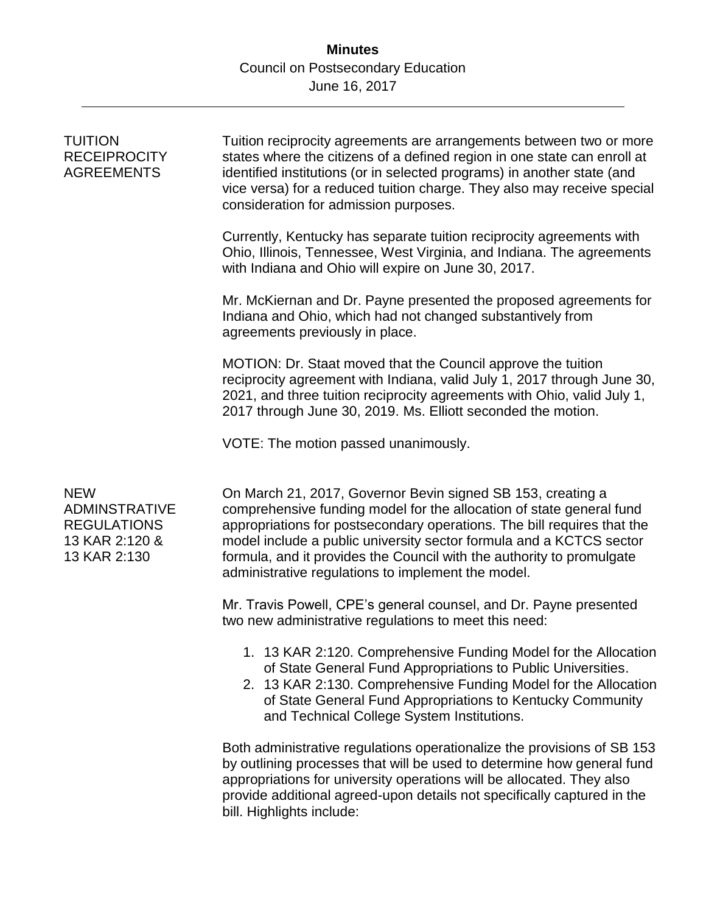| <b>TUITION</b><br><b>RECEIPROCITY</b><br><b>AGREEMENTS</b>                                 | Tuition reciprocity agreements are arrangements between two or more<br>states where the citizens of a defined region in one state can enroll at<br>identified institutions (or in selected programs) in another state (and<br>vice versa) for a reduced tuition charge. They also may receive special<br>consideration for admission purposes.                                                                       |
|--------------------------------------------------------------------------------------------|----------------------------------------------------------------------------------------------------------------------------------------------------------------------------------------------------------------------------------------------------------------------------------------------------------------------------------------------------------------------------------------------------------------------|
|                                                                                            | Currently, Kentucky has separate tuition reciprocity agreements with<br>Ohio, Illinois, Tennessee, West Virginia, and Indiana. The agreements<br>with Indiana and Ohio will expire on June 30, 2017.                                                                                                                                                                                                                 |
|                                                                                            | Mr. McKiernan and Dr. Payne presented the proposed agreements for<br>Indiana and Ohio, which had not changed substantively from<br>agreements previously in place.                                                                                                                                                                                                                                                   |
|                                                                                            | MOTION: Dr. Staat moved that the Council approve the tuition<br>reciprocity agreement with Indiana, valid July 1, 2017 through June 30,<br>2021, and three tuition reciprocity agreements with Ohio, valid July 1,<br>2017 through June 30, 2019. Ms. Elliott seconded the motion.                                                                                                                                   |
|                                                                                            | VOTE: The motion passed unanimously.                                                                                                                                                                                                                                                                                                                                                                                 |
| <b>NEW</b><br><b>ADMINSTRATIVE</b><br><b>REGULATIONS</b><br>13 KAR 2:120 &<br>13 KAR 2:130 | On March 21, 2017, Governor Bevin signed SB 153, creating a<br>comprehensive funding model for the allocation of state general fund<br>appropriations for postsecondary operations. The bill requires that the<br>model include a public university sector formula and a KCTCS sector<br>formula, and it provides the Council with the authority to promulgate<br>administrative regulations to implement the model. |
|                                                                                            | Mr. Travis Powell, CPE's general counsel, and Dr. Payne presented<br>two new administrative regulations to meet this need:                                                                                                                                                                                                                                                                                           |
|                                                                                            | 1. 13 KAR 2:120. Comprehensive Funding Model for the Allocation<br>of State General Fund Appropriations to Public Universities.<br>2. 13 KAR 2:130. Comprehensive Funding Model for the Allocation<br>of State General Fund Appropriations to Kentucky Community<br>and Technical College System Institutions.                                                                                                       |
|                                                                                            | Both administrative regulations operationalize the provisions of SB 153<br>by outlining processes that will be used to determine how general fund<br>appropriations for university operations will be allocated. They also<br>provide additional agreed-upon details not specifically captured in the<br>bill. Highlights include:                                                                                   |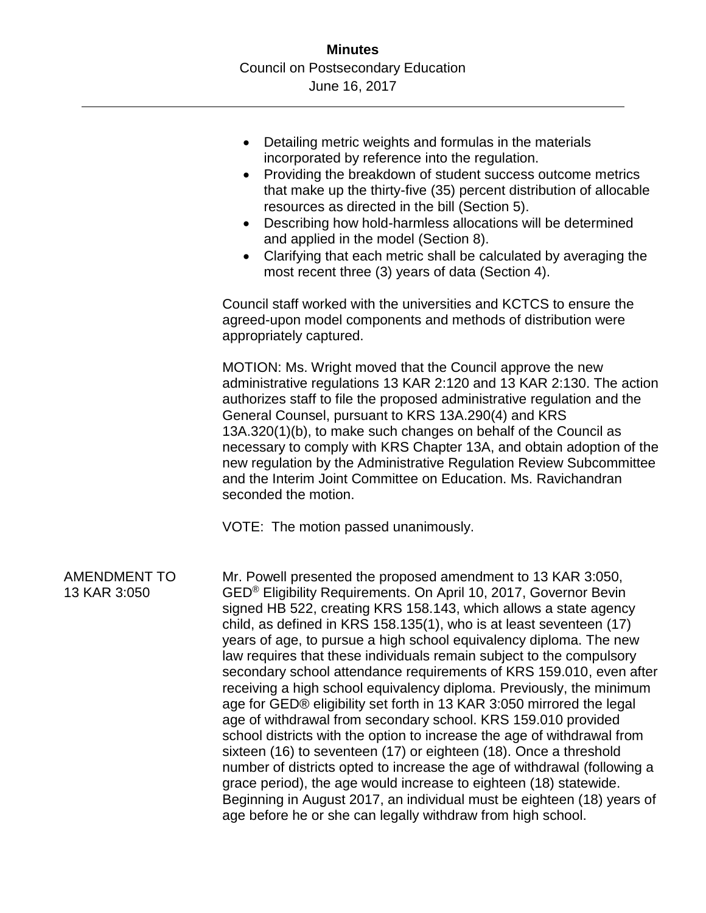| Detailing metric weights and formulas in the materials |
|--------------------------------------------------------|
| incorporated by reference into the regulation.         |

- Providing the breakdown of student success outcome metrics that make up the thirty-five (35) percent distribution of allocable resources as directed in the bill (Section 5).
- Describing how hold-harmless allocations will be determined and applied in the model (Section 8).
- Clarifying that each metric shall be calculated by averaging the most recent three (3) years of data (Section 4).

Council staff worked with the universities and KCTCS to ensure the agreed-upon model components and methods of distribution were appropriately captured.

MOTION: Ms. Wright moved that the Council approve the new administrative regulations 13 KAR 2:120 and 13 KAR 2:130. The action authorizes staff to file the proposed administrative regulation and the General Counsel, pursuant to KRS 13A.290(4) and KRS 13A.320(1)(b), to make such changes on behalf of the Council as necessary to comply with KRS Chapter 13A, and obtain adoption of the new regulation by the Administrative Regulation Review Subcommittee and the Interim Joint Committee on Education. Ms. Ravichandran seconded the motion.

VOTE: The motion passed unanimously.

AMENDMENT TO 13 KAR 3:050 Mr. Powell presented the proposed amendment to 13 KAR 3:050, GED® Eligibility Requirements. On April 10, 2017, Governor Bevin signed HB 522, creating KRS 158.143, which allows a state agency child, as defined in KRS 158.135(1), who is at least seventeen (17) years of age, to pursue a high school equivalency diploma. The new law requires that these individuals remain subject to the compulsory secondary school attendance requirements of KRS 159.010, even after receiving a high school equivalency diploma. Previously, the minimum age for GED® eligibility set forth in 13 KAR 3:050 mirrored the legal age of withdrawal from secondary school. KRS 159.010 provided school districts with the option to increase the age of withdrawal from sixteen (16) to seventeen (17) or eighteen (18). Once a threshold number of districts opted to increase the age of withdrawal (following a grace period), the age would increase to eighteen (18) statewide. Beginning in August 2017, an individual must be eighteen (18) years of age before he or she can legally withdraw from high school.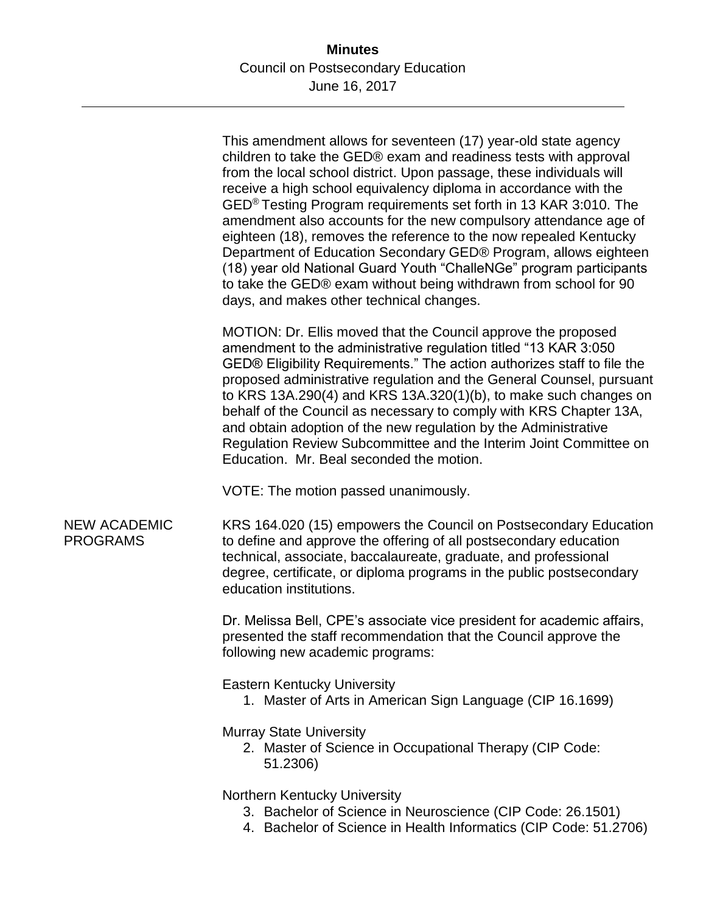This amendment allows for seventeen (17) year-old state agency children to take the GED® exam and readiness tests with approval from the local school district. Upon passage, these individuals will receive a high school equivalency diploma in accordance with the GED® Testing Program requirements set forth in 13 KAR 3:010. The amendment also accounts for the new compulsory attendance age of eighteen (18), removes the reference to the now repealed Kentucky Department of Education Secondary GED® Program, allows eighteen (18) year old National Guard Youth "ChalleNGe" program participants to take the GED® exam without being withdrawn from school for 90 days, and makes other technical changes.

MOTION: Dr. Ellis moved that the Council approve the proposed amendment to the administrative regulation titled "13 KAR 3:050 GED® Eligibility Requirements." The action authorizes staff to file the proposed administrative regulation and the General Counsel, pursuant to KRS 13A.290(4) and KRS 13A.320(1)(b), to make such changes on behalf of the Council as necessary to comply with KRS Chapter 13A, and obtain adoption of the new regulation by the Administrative Regulation Review Subcommittee and the Interim Joint Committee on Education. Mr. Beal seconded the motion.

VOTE: The motion passed unanimously.

#### NEW ACADEMIC PROGRAMS

KRS 164.020 (15) empowers the Council on Postsecondary Education to define and approve the offering of all postsecondary education technical, associate, baccalaureate, graduate, and professional degree, certificate, or diploma programs in the public postsecondary education institutions.

Dr. Melissa Bell, CPE's associate vice president for academic affairs, presented the staff recommendation that the Council approve the following new academic programs:

Eastern Kentucky University

1. Master of Arts in American Sign Language (CIP 16.1699)

Murray State University

2. Master of Science in Occupational Therapy (CIP Code: 51.2306)

Northern Kentucky University

- 3. Bachelor of Science in Neuroscience (CIP Code: 26.1501)
- 4. Bachelor of Science in Health Informatics (CIP Code: 51.2706)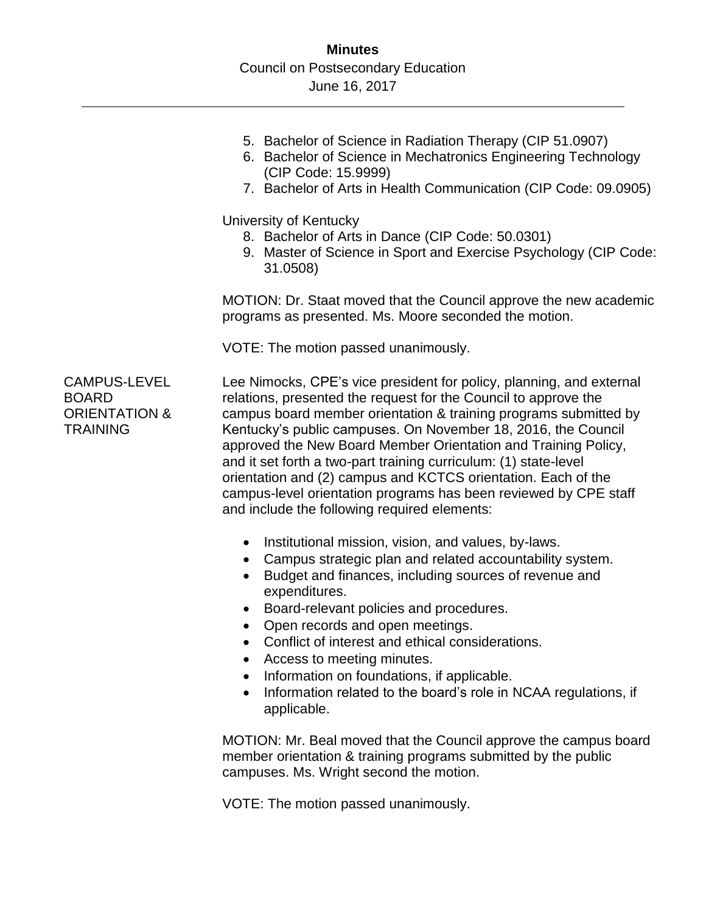- 5. Bachelor of Science in Radiation Therapy (CIP 51.0907)
- 6. Bachelor of Science in Mechatronics Engineering Technology (CIP Code: 15.9999)
- 7. Bachelor of Arts in Health Communication (CIP Code: 09.0905)

University of Kentucky

- 8. Bachelor of Arts in Dance (CIP Code: 50.0301)
- 9. Master of Science in Sport and Exercise Psychology (CIP Code: 31.0508)

MOTION: Dr. Staat moved that the Council approve the new academic programs as presented. Ms. Moore seconded the motion.

VOTE: The motion passed unanimously.

CAMPUS-LEVEL BOARD ORIENTATION & **TRAINING** 

Lee Nimocks, CPE's vice president for policy, planning, and external relations, presented the request for the Council to approve the campus board member orientation & training programs submitted by Kentucky's public campuses. On November 18, 2016, the Council approved the New Board Member Orientation and Training Policy, and it set forth a two-part training curriculum: (1) state-level orientation and (2) campus and KCTCS orientation. Each of the campus-level orientation programs has been reviewed by CPE staff and include the following required elements:

- Institutional mission, vision, and values, by-laws.
- Campus strategic plan and related accountability system.
- Budget and finances, including sources of revenue and expenditures.
- Board-relevant policies and procedures.
- Open records and open meetings.
- Conflict of interest and ethical considerations.
- Access to meeting minutes.
- Information on foundations, if applicable.
- Information related to the board's role in NCAA regulations, if applicable.

MOTION: Mr. Beal moved that the Council approve the campus board member orientation & training programs submitted by the public campuses. Ms. Wright second the motion.

VOTE: The motion passed unanimously.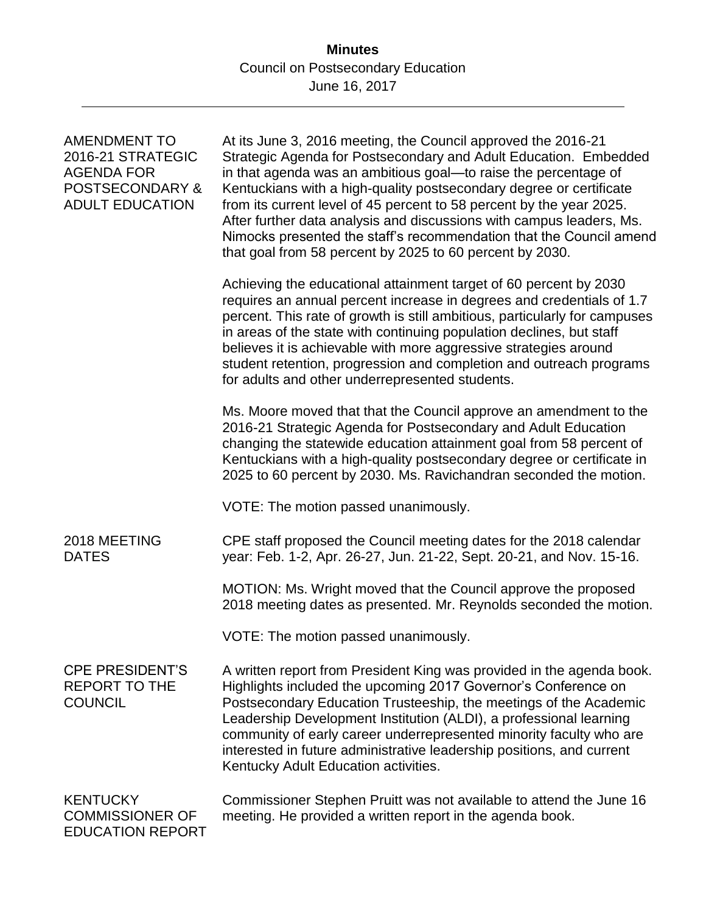| <b>AMENDMENT TO</b><br>2016-21 STRATEGIC<br><b>AGENDA FOR</b><br><b>POSTSECONDARY &amp;</b><br><b>ADULT EDUCATION</b> | At its June 3, 2016 meeting, the Council approved the 2016-21<br>Strategic Agenda for Postsecondary and Adult Education. Embedded<br>in that agenda was an ambitious goal-to raise the percentage of<br>Kentuckians with a high-quality postsecondary degree or certificate<br>from its current level of 45 percent to 58 percent by the year 2025.<br>After further data analysis and discussions with campus leaders, Ms.<br>Nimocks presented the staff's recommendation that the Council amend<br>that goal from 58 percent by 2025 to 60 percent by 2030. |
|-----------------------------------------------------------------------------------------------------------------------|----------------------------------------------------------------------------------------------------------------------------------------------------------------------------------------------------------------------------------------------------------------------------------------------------------------------------------------------------------------------------------------------------------------------------------------------------------------------------------------------------------------------------------------------------------------|
|                                                                                                                       | Achieving the educational attainment target of 60 percent by 2030<br>requires an annual percent increase in degrees and credentials of 1.7<br>percent. This rate of growth is still ambitious, particularly for campuses<br>in areas of the state with continuing population declines, but staff<br>believes it is achievable with more aggressive strategies around<br>student retention, progression and completion and outreach programs<br>for adults and other underrepresented students.                                                                 |
|                                                                                                                       | Ms. Moore moved that that the Council approve an amendment to the<br>2016-21 Strategic Agenda for Postsecondary and Adult Education<br>changing the statewide education attainment goal from 58 percent of<br>Kentuckians with a high-quality postsecondary degree or certificate in<br>2025 to 60 percent by 2030. Ms. Ravichandran seconded the motion.                                                                                                                                                                                                      |
|                                                                                                                       | VOTE: The motion passed unanimously.                                                                                                                                                                                                                                                                                                                                                                                                                                                                                                                           |
| 2018 MEETING<br><b>DATES</b>                                                                                          | CPE staff proposed the Council meeting dates for the 2018 calendar<br>year: Feb. 1-2, Apr. 26-27, Jun. 21-22, Sept. 20-21, and Nov. 15-16.                                                                                                                                                                                                                                                                                                                                                                                                                     |
|                                                                                                                       | MOTION: Ms. Wright moved that the Council approve the proposed<br>2018 meeting dates as presented. Mr. Reynolds seconded the motion.                                                                                                                                                                                                                                                                                                                                                                                                                           |
|                                                                                                                       | VOTE: The motion passed unanimously.                                                                                                                                                                                                                                                                                                                                                                                                                                                                                                                           |
| <b>CPE PRESIDENT'S</b><br><b>REPORT TO THE</b><br><b>COUNCIL</b>                                                      | A written report from President King was provided in the agenda book.<br>Highlights included the upcoming 2017 Governor's Conference on<br>Postsecondary Education Trusteeship, the meetings of the Academic<br>Leadership Development Institution (ALDI), a professional learning<br>community of early career underrepresented minority faculty who are<br>interested in future administrative leadership positions, and current<br>Kentucky Adult Education activities.                                                                                     |
| <b>KENTUCKY</b><br><b>COMMISSIONER OF</b><br><b>EDUCATION REPORT</b>                                                  | Commissioner Stephen Pruitt was not available to attend the June 16<br>meeting. He provided a written report in the agenda book.                                                                                                                                                                                                                                                                                                                                                                                                                               |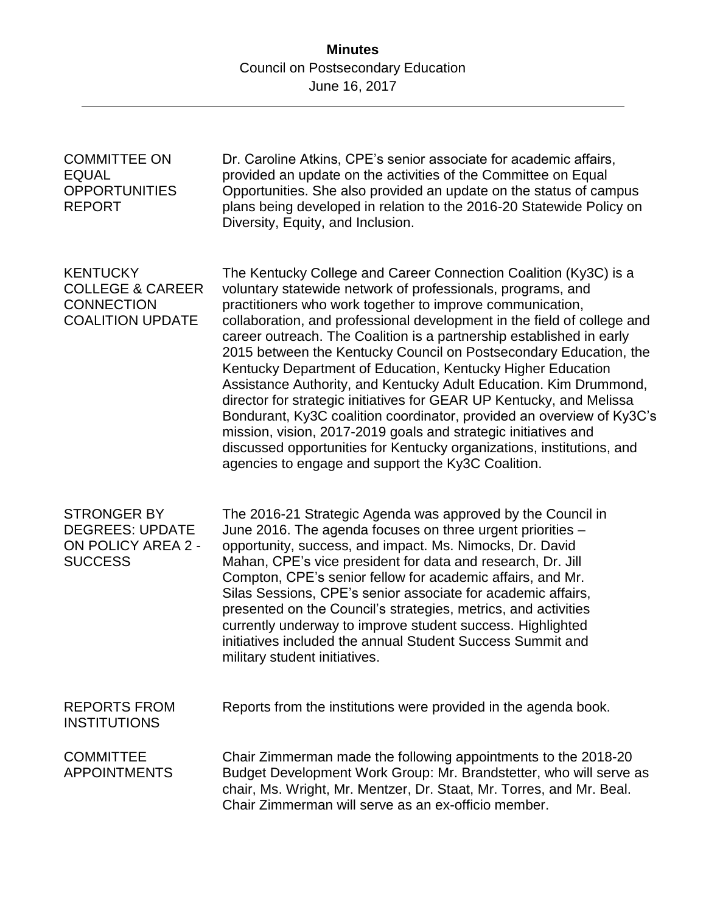| <b>COMMITTEE ON</b><br><b>EQUAL</b><br><b>OPPORTUNITIES</b><br><b>REPORT</b>                   | Dr. Caroline Atkins, CPE's senior associate for academic affairs,<br>provided an update on the activities of the Committee on Equal<br>Opportunities. She also provided an update on the status of campus<br>plans being developed in relation to the 2016-20 Statewide Policy on<br>Diversity, Equity, and Inclusion.                                                                                                                                                                                                                                                                                                                                                                                                                                                                                                                                                                                     |
|------------------------------------------------------------------------------------------------|------------------------------------------------------------------------------------------------------------------------------------------------------------------------------------------------------------------------------------------------------------------------------------------------------------------------------------------------------------------------------------------------------------------------------------------------------------------------------------------------------------------------------------------------------------------------------------------------------------------------------------------------------------------------------------------------------------------------------------------------------------------------------------------------------------------------------------------------------------------------------------------------------------|
| <b>KENTUCKY</b><br><b>COLLEGE &amp; CAREER</b><br><b>CONNECTION</b><br><b>COALITION UPDATE</b> | The Kentucky College and Career Connection Coalition (Ky3C) is a<br>voluntary statewide network of professionals, programs, and<br>practitioners who work together to improve communication,<br>collaboration, and professional development in the field of college and<br>career outreach. The Coalition is a partnership established in early<br>2015 between the Kentucky Council on Postsecondary Education, the<br>Kentucky Department of Education, Kentucky Higher Education<br>Assistance Authority, and Kentucky Adult Education. Kim Drummond,<br>director for strategic initiatives for GEAR UP Kentucky, and Melissa<br>Bondurant, Ky3C coalition coordinator, provided an overview of Ky3C's<br>mission, vision, 2017-2019 goals and strategic initiatives and<br>discussed opportunities for Kentucky organizations, institutions, and<br>agencies to engage and support the Ky3C Coalition. |
| <b>STRONGER BY</b><br><b>DEGREES: UPDATE</b><br><b>ON POLICY AREA 2 -</b><br><b>SUCCESS</b>    | The 2016-21 Strategic Agenda was approved by the Council in<br>June 2016. The agenda focuses on three urgent priorities -<br>opportunity, success, and impact. Ms. Nimocks, Dr. David<br>Mahan, CPE's vice president for data and research, Dr. Jill<br>Compton, CPE's senior fellow for academic affairs, and Mr.<br>Silas Sessions, CPE's senior associate for academic affairs,<br>presented on the Council's strategies, metrics, and activities<br>currently underway to improve student success. Highlighted<br>initiatives included the annual Student Success Summit and<br>military student initiatives.                                                                                                                                                                                                                                                                                          |
| <b>REPORTS FROM</b><br><b>INSTITUTIONS</b>                                                     | Reports from the institutions were provided in the agenda book.                                                                                                                                                                                                                                                                                                                                                                                                                                                                                                                                                                                                                                                                                                                                                                                                                                            |
| <b>COMMITTEE</b><br><b>APPOINTMENTS</b>                                                        | Chair Zimmerman made the following appointments to the 2018-20<br>Budget Development Work Group: Mr. Brandstetter, who will serve as<br>chair, Ms. Wright, Mr. Mentzer, Dr. Staat, Mr. Torres, and Mr. Beal.<br>Chair Zimmerman will serve as an ex-officio member.                                                                                                                                                                                                                                                                                                                                                                                                                                                                                                                                                                                                                                        |